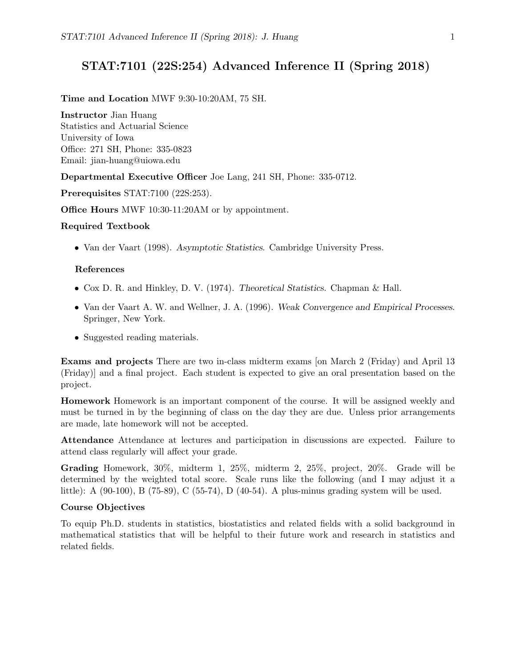# STAT:7101 (22S:254) Advanced Inference II (Spring 2018)

#### Time and Location MWF 9:30-10:20AM, 75 SH.

Instructor Jian Huang

Statistics and Actuarial Science University of Iowa Office: 271 SH, Phone: 335-0823 Email: jian-huang@uiowa.edu

Departmental Executive Officer Joe Lang, 241 SH, Phone: 335-0712.

Prerequisites STAT:7100 (22S:253).

Office Hours MWF 10:30-11:20AM or by appointment.

### Required Textbook

• Van der Vaart (1998). Asymptotic Statistics. Cambridge University Press.

### References

- Cox D. R. and Hinkley, D. V. (1974). Theoretical Statistics. Chapman & Hall.
- Van der Vaart A. W. and Wellner, J. A. (1996). Weak Convergence and Empirical Processes. Springer, New York.
- Suggested reading materials.

Exams and projects There are two in-class midterm exams [on March 2 (Friday) and April 13 (Friday)] and a final project. Each student is expected to give an oral presentation based on the project.

Homework Homework is an important component of the course. It will be assigned weekly and must be turned in by the beginning of class on the day they are due. Unless prior arrangements are made, late homework will not be accepted.

Attendance Attendance at lectures and participation in discussions are expected. Failure to attend class regularly will affect your grade.

Grading Homework, 30%, midterm 1, 25%, midterm 2, 25%, project, 20%. Grade will be determined by the weighted total score. Scale runs like the following (and I may adjust it a little): A (90-100), B (75-89), C (55-74), D (40-54). A plus-minus grading system will be used.

### Course Objectives

To equip Ph.D. students in statistics, biostatistics and related fields with a solid background in mathematical statistics that will be helpful to their future work and research in statistics and related fields.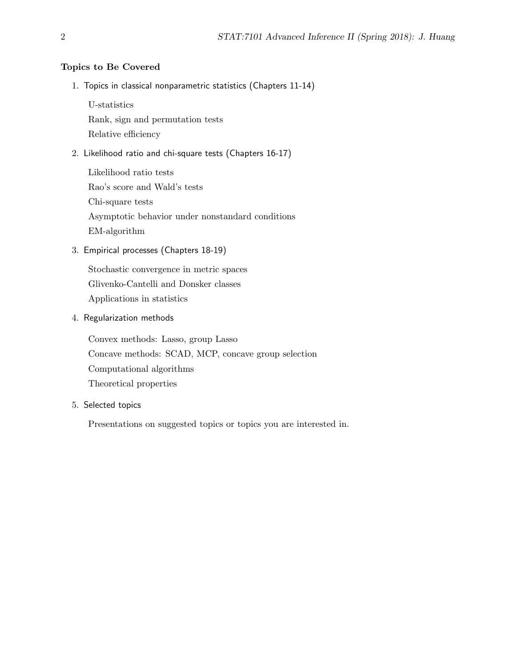## Topics to Be Covered

1. Topics in classical nonparametric statistics (Chapters 11-14)

U-statistics

Rank, sign and permutation tests

Relative efficiency

2. Likelihood ratio and chi-square tests (Chapters 16-17)

Likelihood ratio tests Rao's score and Wald's tests Chi-square tests Asymptotic behavior under nonstandard conditions EM-algorithm

3. Empirical processes (Chapters 18-19)

Stochastic convergence in metric spaces Glivenko-Cantelli and Donsker classes Applications in statistics

4. Regularization methods

Convex methods: Lasso, group Lasso Concave methods: SCAD, MCP, concave group selection Computational algorithms Theoretical properties

5. Selected topics

Presentations on suggested topics or topics you are interested in.